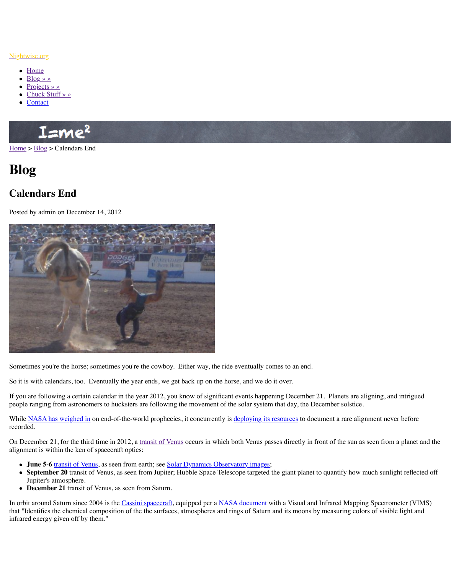

Sometimes you're the horse; sometimes you're the cowboy. Either way, the ride eventually comes to an end.

[So it is](http://www.nightwise.org/) [with c](http://www.nightwise.org/blog/)alendars, too. Eventually the year ends, we get back up on the horse, and we d

If you are following a certain calendar in the year  $2012$ , you know of significant events happ people ranging from astronomers to hucksters are following the movement of the solar system that day, the December solstice.

While NASA has weighed in on end-of-the-world prophecies, it concurrently is deploying it recorded.

On December 21, for the third time in 2012, a transit of Venus occurs in which both Venus p alignment is within the ken of spacecraft optics:

- **June 5-6** transit of Venus, as seen from earth; see Solar Dynamics Observatory images
- September 20 transit of Venus, as seen from Jupiter; Hubble Space Telescope targeted Jupiter's atmosphere.
- **December 21** transit of Venus, as seen from Saturn.

In orbit around Saturn since 2004 is the Cassini spacecraft, equipped per a NASA document that "Identifies the chemical composition of the the surfaces, atmospheres and rings of Saturing colors by measuring colors and its manner  $\alpha$ infrared energy given off by them."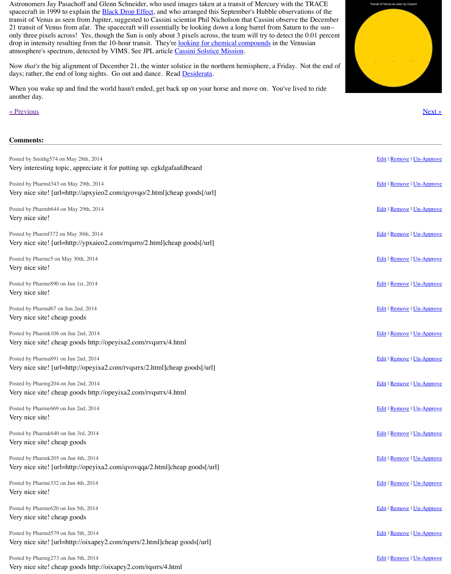Posted by Pharmf372 on May 30th, 2014 Very nice site! [url=http://ypxaie[o2.com/rrqsrro/2.h](http://www.transitofvenus.org/history/black-drop)tml]cheap goods[/url]

Posted by Pharme5 on May 30th, 2014 Very nice site!

Posted by Pharme890 on Jun 1st, 2014 Very nice site!

Posted by Pharmd67 on Jun 2nd, 2014 Very nice site! cheap goods

Posted by Pharmk106 on Jun 2nd, 2014 [Very nice s](http://www.nightwise.org/blog/mstci-intro/)ite! cheap goods http://opeyixa2.com/rvqsrrx/4.html

Posted by Pharma891 on Jun 2nd, 2014 Very nice site! [url=http://opeyixa2.com/rvqsrrx/2.html]cheap goods[/url]

Posted by Pharmg204 on Jun 2nd, 2014 Very nice site! cheap goods http://opeyixa2.com/rvqsrrx/4.html

Posted by Pharme669 on Jun 2nd, 2014 Very nice site!

Posted by Pharmk640 on Jun 3rd, 2014 Very nice site! cheap goods

Posted by Pharmk205 on Jun 4th, 2014 Very nice site! [url=http://opeyixa2.com/qvovqqa/2.html]cheap goods[/url]

Posted by Pharme332 on Jun 4th, 2014 Very nice site!

Posted by Pharme620 on Jun 5th, 2014 Very nice site! cheap goods

Posted by Pharmd579 on Jun 5th, 2014 Very nice site! [url=http://oixapey2.com/rqsrrs/2.html]cheap goods[/url]

Posted by Pharmg273 on Jun 5th, 2014 Very nice site! cheap goods http://oixapey2.com/rqsrrs/4.html